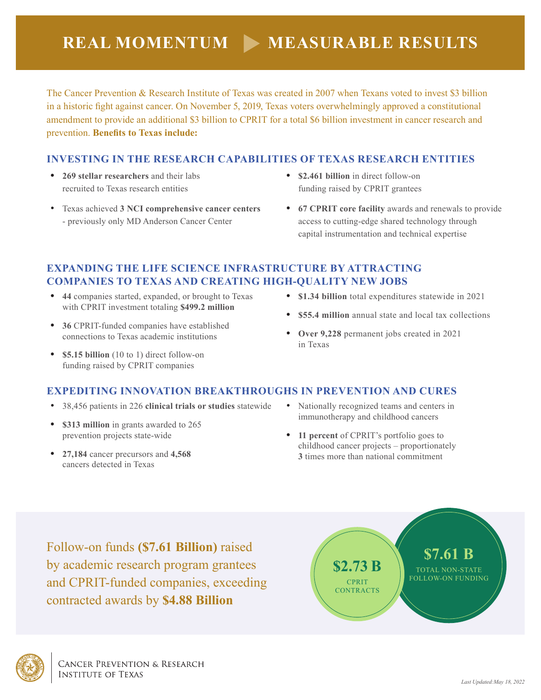The Cancer Prevention & Research Institute of Texas was created in 2007 when Texans voted to invest \$3 billion in a historic fight against cancer. On November 5, 2019, Texas voters overwhelmingly approved a constitutional amendment to provide an additional \$3 billion to CPRIT for a total \$6 billion investment in cancer research and prevention. **Benefits to Texas include:** 

## **INVESTING IN THE RESEARCH CAPABILITIES OF TEXAS RESEARCH ENTITIES**

- **• 269 stellar researchers** and their labs recruited to Texas research entities
- Texas achieved **3 NCI comprehensive cancer centers**  - previously only MD Anderson Cancer Center
- **• \$2.461 billion** in direct follow-on funding raised by CPRIT grantees
- **• 67 CPRIT core facility** awards and renewals to provide access to cutting-edge shared technology through capital instrumentation and technical expertise

## **EXPANDING THE LIFE SCIENCE INFRASTRUCTURE BY ATTRACTING COMPANIES TO TEXAS AND CREATING HIGH-QUALITY NEW JOBS**

- **• 44** companies started, expanded, or brought to Texas with CPRIT investment totaling **\$499.2 million**
- **• 36** CPRIT-funded companies have established connections to Texas academic institutions
- **• \$5.15 billion** (10 to 1) direct follow-on funding raised by CPRIT companies
- **• \$1.34 billion** total expenditures statewide in 2021
- **• \$55.4 million** annual state and local tax collections
- **• Over 9,228** permanent jobs created in 2021 in Texas

## **EXPEDITING INNOVATION BREAKTHROUGHS IN PREVENTION AND CURES**

- 38,456 patients in 226 **clinical trials or studies** statewide
- **• \$313 million** in grants awarded to 265 prevention projects state-wide
- **• 27,184** cancer precursors and **4,568**  cancers detected in Texas
- Nationally recognized teams and centers in immunotherapy and childhood cancers
- **• 11 percent** of CPRIT's portfolio goes to childhood cancer projects – proportionately **3** times more than national commitment

Follow-on funds **(\$7.61 Billion)** raised by academic research program grantees and CPRIT-funded companies, exceeding contracted awards by **\$4.88 Billion**